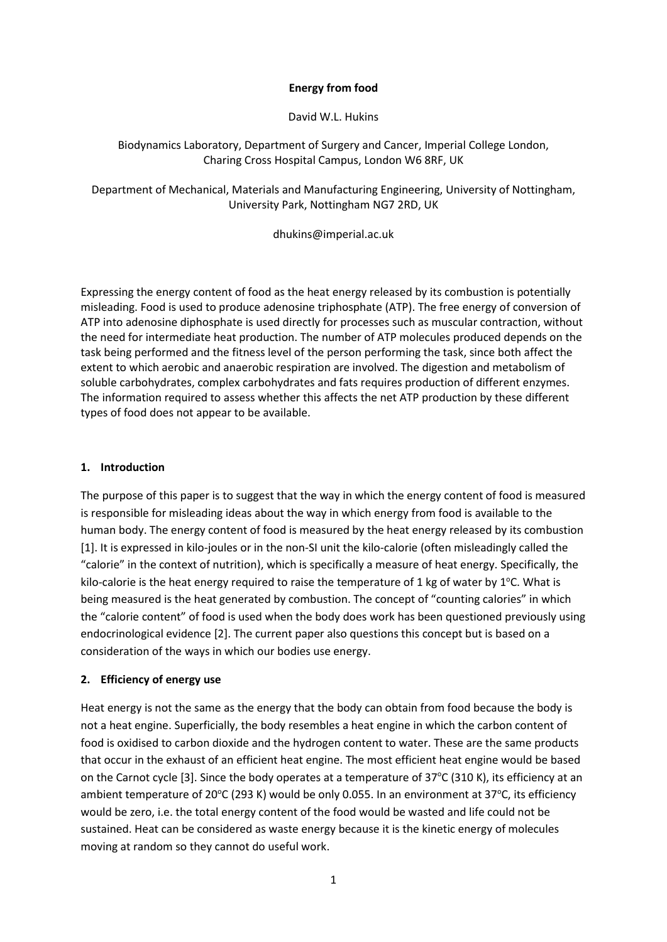### **Energy from food**

David W.L. Hukins

### Biodynamics Laboratory, Department of Surgery and Cancer, Imperial College London, Charing Cross Hospital Campus, London W6 8RF, UK

Department of Mechanical, Materials and Manufacturing Engineering, University of Nottingham, University Park, Nottingham NG7 2RD, UK

dhukins@imperial.ac.uk

Expressing the energy content of food as the heat energy released by its combustion is potentially misleading. Food is used to produce adenosine triphosphate (ATP). The free energy of conversion of ATP into adenosine diphosphate is used directly for processes such as muscular contraction, without the need for intermediate heat production. The number of ATP molecules produced depends on the task being performed and the fitness level of the person performing the task, since both affect the extent to which aerobic and anaerobic respiration are involved. The digestion and metabolism of soluble carbohydrates, complex carbohydrates and fats requires production of different enzymes. The information required to assess whether this affects the net ATP production by these different types of food does not appear to be available.

# **1. Introduction**

The purpose of this paper is to suggest that the way in which the energy content of food is measured is responsible for misleading ideas about the way in which energy from food is available to the human body. The energy content of food is measured by the heat energy released by its combustion [1]. It is expressed in kilo-joules or in the non-SI unit the kilo-calorie (often misleadingly called the "calorie" in the context of nutrition), which is specifically a measure of heat energy. Specifically, the kilo-calorie is the heat energy required to raise the temperature of 1 kg of water by  $1^{\circ}$ C. What is being measured is the heat generated by combustion. The concept of "counting calories" in which the "calorie content" of food is used when the body does work has been questioned previously using endocrinological evidence [2]. The current paper also questions this concept but is based on a consideration of the ways in which our bodies use energy.

# **2. Efficiency of energy use**

Heat energy is not the same as the energy that the body can obtain from food because the body is not a heat engine. Superficially, the body resembles a heat engine in which the carbon content of food is oxidised to carbon dioxide and the hydrogen content to water. These are the same products that occur in the exhaust of an efficient heat engine. The most efficient heat engine would be based on the Carnot cycle [3]. Since the body operates at a temperature of  $37^{\circ}$ C (310 K), its efficiency at an ambient temperature of 20°C (293 K) would be only 0.055. In an environment at 37°C, its efficiency would be zero, i.e. the total energy content of the food would be wasted and life could not be sustained. Heat can be considered as waste energy because it is the kinetic energy of molecules moving at random so they cannot do useful work.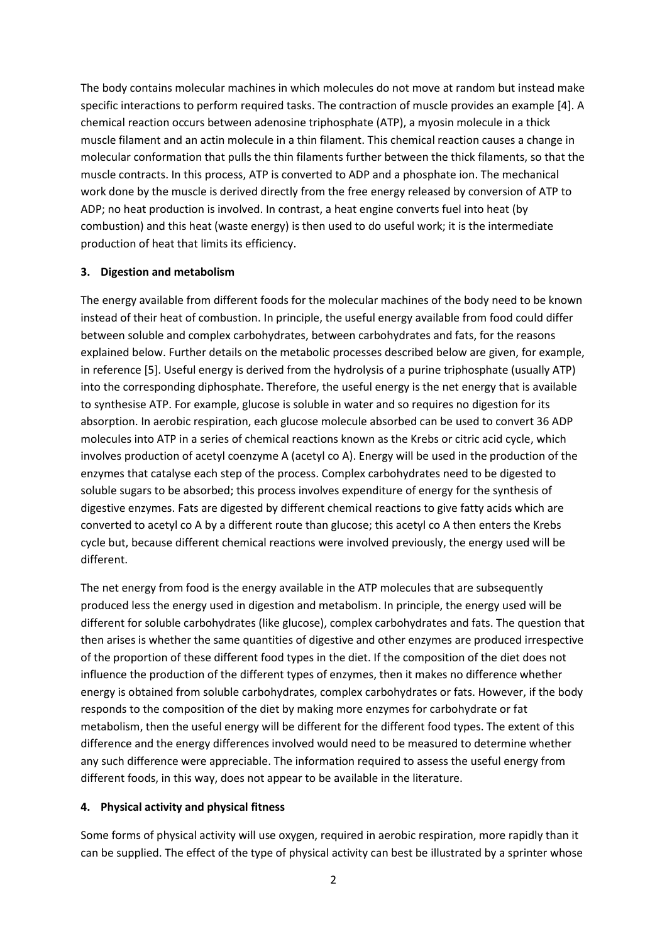The body contains molecular machines in which molecules do not move at random but instead make specific interactions to perform required tasks. The contraction of muscle provides an example [4]. A chemical reaction occurs between adenosine triphosphate (ATP), a myosin molecule in a thick muscle filament and an actin molecule in a thin filament. This chemical reaction causes a change in molecular conformation that pulls the thin filaments further between the thick filaments, so that the muscle contracts. In this process, ATP is converted to ADP and a phosphate ion. The mechanical work done by the muscle is derived directly from the free energy released by conversion of ATP to ADP; no heat production is involved. In contrast, a heat engine converts fuel into heat (by combustion) and this heat (waste energy) is then used to do useful work; it is the intermediate production of heat that limits its efficiency.

### **3. Digestion and metabolism**

The energy available from different foods for the molecular machines of the body need to be known instead of their heat of combustion. In principle, the useful energy available from food could differ between soluble and complex carbohydrates, between carbohydrates and fats, for the reasons explained below. Further details on the metabolic processes described below are given, for example, in reference [5]. Useful energy is derived from the hydrolysis of a purine triphosphate (usually ATP) into the corresponding diphosphate. Therefore, the useful energy is the net energy that is available to synthesise ATP. For example, glucose is soluble in water and so requires no digestion for its absorption. In aerobic respiration, each glucose molecule absorbed can be used to convert 36 ADP molecules into ATP in a series of chemical reactions known as the Krebs or citric acid cycle, which involves production of acetyl coenzyme A (acetyl co A). Energy will be used in the production of the enzymes that catalyse each step of the process. Complex carbohydrates need to be digested to soluble sugars to be absorbed; this process involves expenditure of energy for the synthesis of digestive enzymes. Fats are digested by different chemical reactions to give fatty acids which are converted to acetyl co A by a different route than glucose; this acetyl co A then enters the Krebs cycle but, because different chemical reactions were involved previously, the energy used will be different.

The net energy from food is the energy available in the ATP molecules that are subsequently produced less the energy used in digestion and metabolism. In principle, the energy used will be different for soluble carbohydrates (like glucose), complex carbohydrates and fats. The question that then arises is whether the same quantities of digestive and other enzymes are produced irrespective of the proportion of these different food types in the diet. If the composition of the diet does not influence the production of the different types of enzymes, then it makes no difference whether energy is obtained from soluble carbohydrates, complex carbohydrates or fats. However, if the body responds to the composition of the diet by making more enzymes for carbohydrate or fat metabolism, then the useful energy will be different for the different food types. The extent of this difference and the energy differences involved would need to be measured to determine whether any such difference were appreciable. The information required to assess the useful energy from different foods, in this way, does not appear to be available in the literature.

#### **4. Physical activity and physical fitness**

Some forms of physical activity will use oxygen, required in aerobic respiration, more rapidly than it can be supplied. The effect of the type of physical activity can best be illustrated by a sprinter whose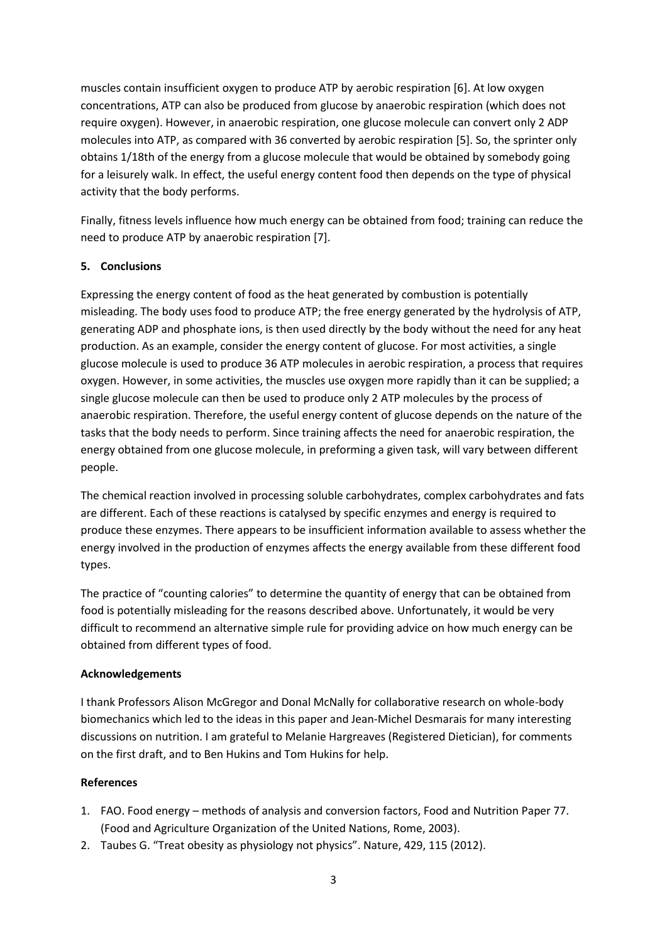muscles contain insufficient oxygen to produce ATP by aerobic respiration [6]. At low oxygen concentrations, ATP can also be produced from glucose by anaerobic respiration (which does not require oxygen). However, in anaerobic respiration, one glucose molecule can convert only 2 ADP molecules into ATP, as compared with 36 converted by aerobic respiration [5]. So, the sprinter only obtains 1/18th of the energy from a glucose molecule that would be obtained by somebody going for a leisurely walk. In effect, the useful energy content food then depends on the type of physical activity that the body performs.

Finally, fitness levels influence how much energy can be obtained from food; training can reduce the need to produce ATP by anaerobic respiration [7].

# **5. Conclusions**

Expressing the energy content of food as the heat generated by combustion is potentially misleading. The body uses food to produce ATP; the free energy generated by the hydrolysis of ATP, generating ADP and phosphate ions, is then used directly by the body without the need for any heat production. As an example, consider the energy content of glucose. For most activities, a single glucose molecule is used to produce 36 ATP molecules in aerobic respiration, a process that requires oxygen. However, in some activities, the muscles use oxygen more rapidly than it can be supplied; a single glucose molecule can then be used to produce only 2 ATP molecules by the process of anaerobic respiration. Therefore, the useful energy content of glucose depends on the nature of the tasks that the body needs to perform. Since training affects the need for anaerobic respiration, the energy obtained from one glucose molecule, in preforming a given task, will vary between different people.

The chemical reaction involved in processing soluble carbohydrates, complex carbohydrates and fats are different. Each of these reactions is catalysed by specific enzymes and energy is required to produce these enzymes. There appears to be insufficient information available to assess whether the energy involved in the production of enzymes affects the energy available from these different food types.

The practice of "counting calories" to determine the quantity of energy that can be obtained from food is potentially misleading for the reasons described above. Unfortunately, it would be very difficult to recommend an alternative simple rule for providing advice on how much energy can be obtained from different types of food.

### **Acknowledgements**

I thank Professors Alison McGregor and Donal McNally for collaborative research on whole-body biomechanics which led to the ideas in this paper and Jean-Michel Desmarais for many interesting discussions on nutrition. I am grateful to Melanie Hargreaves (Registered Dietician), for comments on the first draft, and to Ben Hukins and Tom Hukins for help.

# **References**

- 1. FAO. Food energy methods of analysis and conversion factors, Food and Nutrition Paper 77. (Food and Agriculture Organization of the United Nations, Rome, 2003).
- 2. Taubes G. "Treat obesity as physiology not physics". Nature, 429, 115 (2012).